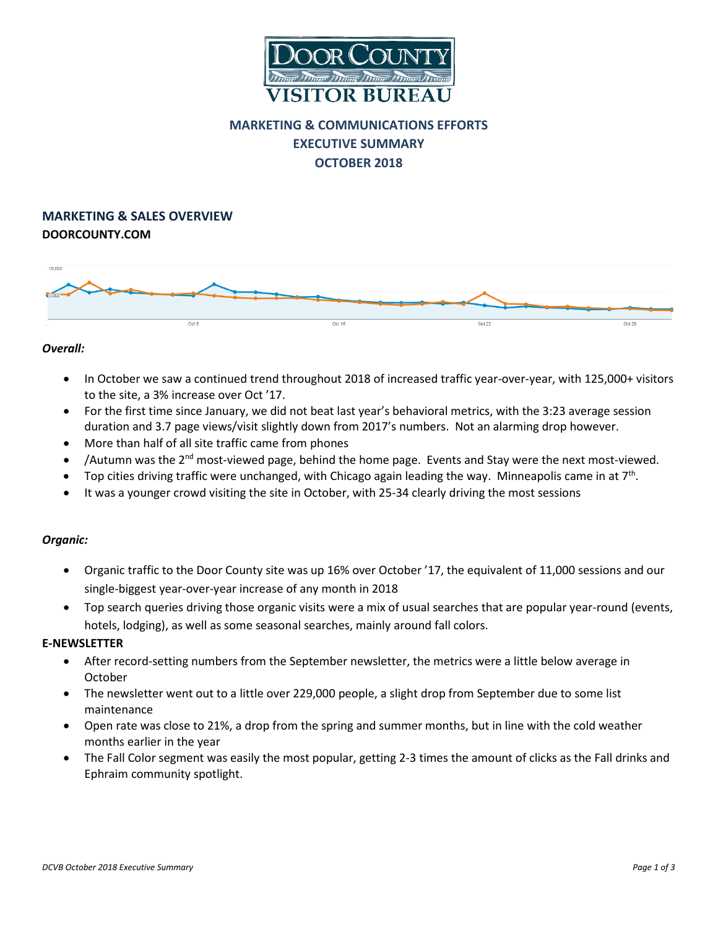

# **MARKETING & COMMUNICATIONS EFFORTS EXECUTIVE SUMMARY OCTOBER 2018**

# **MARKETING & SALES OVERVIEW DOORCOUNTY.COM**



### *Overall:*

- In October we saw a continued trend throughout 2018 of increased traffic year-over-year, with 125,000+ visitors to the site, a 3% increase over Oct '17.
- For the first time since January, we did not beat last year's behavioral metrics, with the 3:23 average session duration and 3.7 page views/visit slightly down from 2017's numbers. Not an alarming drop however.
- More than half of all site traffic came from phones
- /Autumn was the  $2^{nd}$  most-viewed page, behind the home page. Events and Stay were the next most-viewed.
- Top cities driving traffic were unchanged, with Chicago again leading the way. Minneapolis came in at  $7<sup>th</sup>$ .
- It was a younger crowd visiting the site in October, with 25-34 clearly driving the most sessions

# *Organic:*

- Organic traffic to the Door County site was up 16% over October '17, the equivalent of 11,000 sessions and our single-biggest year-over-year increase of any month in 2018
- Top search queries driving those organic visits were a mix of usual searches that are popular year-round (events, hotels, lodging), as well as some seasonal searches, mainly around fall colors.

#### **E-NEWSLETTER**

- After record-setting numbers from the September newsletter, the metrics were a little below average in October
- The newsletter went out to a little over 229,000 people, a slight drop from September due to some list maintenance
- Open rate was close to 21%, a drop from the spring and summer months, but in line with the cold weather months earlier in the year
- The Fall Color segment was easily the most popular, getting 2-3 times the amount of clicks as the Fall drinks and Ephraim community spotlight.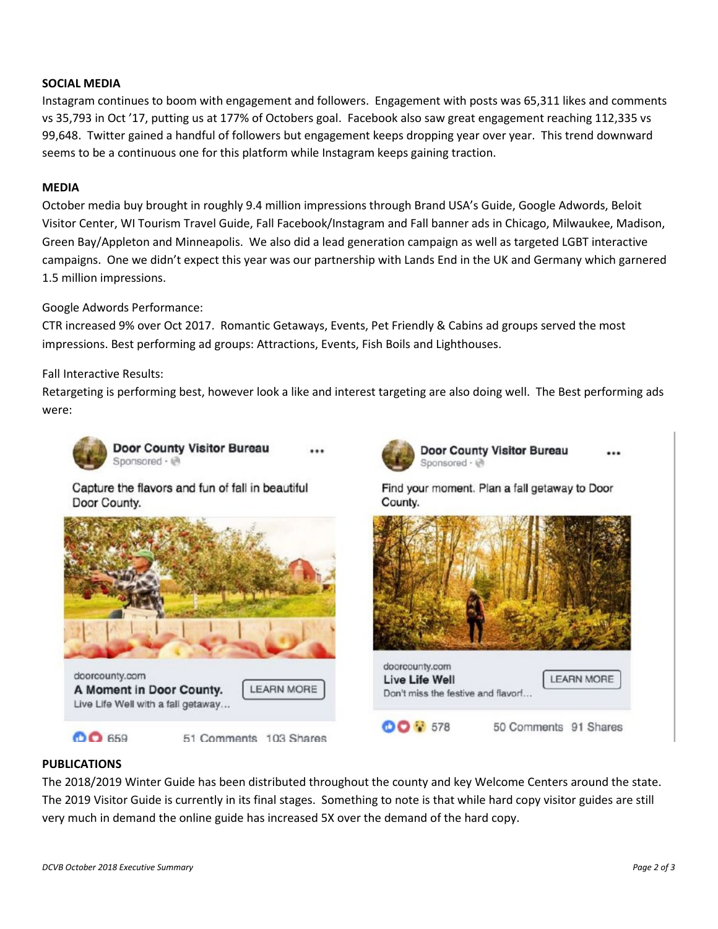# **SOCIAL MEDIA**

Instagram continues to boom with engagement and followers. Engagement with posts was 65,311 likes and comments vs 35,793 in Oct '17, putting us at 177% of Octobers goal. Facebook also saw great engagement reaching 112,335 vs 99,648. Twitter gained a handful of followers but engagement keeps dropping year over year. This trend downward seems to be a continuous one for this platform while Instagram keeps gaining traction.

### **MEDIA**

October media buy brought in roughly 9.4 million impressions through Brand USA's Guide, Google Adwords, Beloit Visitor Center, WI Tourism Travel Guide, Fall Facebook/Instagram and Fall banner ads in Chicago, Milwaukee, Madison, Green Bay/Appleton and Minneapolis. We also did a lead generation campaign as well as targeted LGBT interactive campaigns. One we didn't expect this year was our partnership with Lands End in the UK and Germany which garnered 1.5 million impressions.

#### Google Adwords Performance:

CTR increased 9% over Oct 2017. Romantic Getaways, Events, Pet Friendly & Cabins ad groups served the most impressions. Best performing ad groups: Attractions, Events, Fish Boils and Lighthouses.

#### Fall Interactive Results:

Retargeting is performing best, however look a like and interest targeting are also doing well. The Best performing ads were:



**Door County Visitor Bureau** Sponsored · @

Capture the flavors and fun of fall in beautiful Door County.



Live Life Well with a fall getaway...

**00 659** 

51 Comments 103 Shares



**Door County Visitor Bureau** Sponsored · @

Find your moment. Plan a fall getaway to Door County.



# **PUBLICATIONS**

The 2018/2019 Winter Guide has been distributed throughout the county and key Welcome Centers around the state. The 2019 Visitor Guide is currently in its final stages. Something to note is that while hard copy visitor guides are still very much in demand the online guide has increased 5X over the demand of the hard copy.